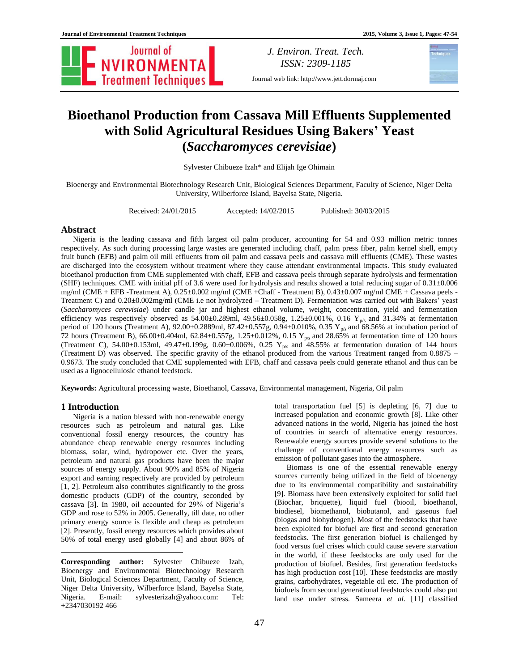

*J. Environ. Treat. Tech. ISSN: 2309-1185*

Journal web link: http://www.jett.dormaj.com

# **Bioethanol Production from Cassava Mill Effluents Supplemented with Solid Agricultural Residues Using Bakers' Yeast (***Saccharomyces cerevisiae***)**

Sylvester Chibueze Izah\* and Elijah Ige Ohimain

Bioenergy and Environmental Biotechnology Research Unit, Biological Sciences Department, Faculty of Science, Niger Delta University, Wilberforce Island, Bayelsa State, Nigeria.

Received: 24/01/2015 Accepted: 14/02/2015 Published: 30/03/2015

# **Abstract**

Nigeria is the leading cassava and fifth largest oil palm producer, accounting for 54 and 0.93 million metric tonnes respectively. As such during processing large wastes are generated including chaff, palm press fiber, palm kernel shell, empty fruit bunch (EFB) and palm oil mill effluents from oil palm and cassava peels and cassava mill effluents (CME). These wastes are discharged into the ecosystem without treatment where they cause attendant environmental impacts. This study evaluated bioethanol production from CME supplemented with chaff, EFB and cassava peels through separate hydrolysis and fermentation (SHF) techniques. CME with initial pH of 3.6 were used for hydrolysis and results showed a total reducing sugar of  $0.31\pm0.006$ mg/ml (CME + EFB -Treatment A), 0.25±0.002 mg/ml (CME +Chaff - Treatment B), 0.43±0.007 mg/ml CME + Cassava peels - Treatment C) and 0.20±0.002mg/ml (CME i.e not hydrolyzed – Treatment D). Fermentation was carried out with Bakers' yeast (*Saccharomyces cerevisiae*) under candle jar and highest ethanol volume, weight, concentration, yield and fermentation efficiency was respectively observed as  $54.00\pm0.289$ ml,  $49.56\pm0.058$ g,  $1.25\pm0.001$ %, 0.16 Y<sub>p/s</sub> and 31.34% at fermentation period of 120 hours (Treatment A),  $92.00 \pm 0.2889$  ml,  $87.42 \pm 0.557$  g,  $0.94 \pm 0.010$ %,  $0.35$  Y<sub>p/s</sub> and 68.56% at incubation period of 72 hours (Treatment B), 66.00±0.404ml, 62.84±0.557g, 1.25±0.012%, 0.15  $Y_{p/s}$  and 28.65% at fermentation time of 120 hours (Treatment C), 54.00±0.153ml, 49.47±0.199g, 0.60±0.006%, 0.25 Y<sub>p/s</sub> and 48.55% at fermentation duration of 144 hours (Treatment D) was observed. The specific gravity of the ethanol produced from the various Treatment ranged from 0.8875 – 0.9673. The study concluded that CME supplemented with EFB, chaff and cassava peels could generate ethanol and thus can be used as a lignocellulosic ethanol feedstock.

**Keywords:** Agricultural processing waste, Bioethanol, Cassava, Environmental management, Nigeria, Oil palm

# **1 Introduction<sup>1</sup>**

 $\overline{a}$ 

Nigeria is a nation blessed with non-renewable energy resources such as petroleum and natural gas. Like conventional fossil energy resources, the country has abundance cheap renewable energy resources including biomass, solar, wind, hydropower etc. Over the years, petroleum and natural gas products have been the major sources of energy supply. About 90% and 85% of Nigeria export and earning respectively are provided by petroleum [1, 2]. Petroleum also contributes significantly to the gross domestic products (GDP) of the country, seconded by cassava [3]. In 1980, oil accounted for 29% of Nigeria's GDP and rose to 52% in 2005. Generally, till date, no other primary energy source is flexible and cheap as petroleum [2]. Presently, fossil energy resources which provides about 50% of total energy used globally [4] and about 86% of total transportation fuel [5] is depleting [6, 7] due to increased population and economic growth [8]. Like other advanced nations in the world, Nigeria has joined the host of countries in search of alternative energy resources. Renewable energy sources provide several solutions to the challenge of conventional energy resources such as emission of pollutant gases into the atmosphere.

Biomass is one of the essential renewable energy sources currently being utilized in the field of bioenergy due to its environmental compatibility and sustainability [9]. Biomass have been extensively exploited for solid fuel (Biochar, briquette), liquid fuel (biooil, bioethanol, biodiesel, biomethanol, biobutanol, and gaseous fuel (biogas and biohydrogen). Most of the feedstocks that have been exploited for biofuel are first and second generation feedstocks. The first generation biofuel is challenged by food versus fuel crises which could cause severe starvation in the world, if these feedstocks are only used for the production of biofuel. Besides, first generation feedstocks has high production cost [10]. These feedstocks are mostly grains, carbohydrates, vegetable oil etc. The production of biofuels from second generational feedstocks could also put land use under stress. Sameera *et al*. [11] classified

**Corresponding author:** Sylvester Chibueze Izah, Bioenergy and Environmental Biotechnology Research Unit, Biological Sciences Department, Faculty of Science, Niger Delta University, Wilberforce Island, Bayelsa State, Nigeria. E-mail: sylvesterizah@yahoo.com: Tel: +2347030192 466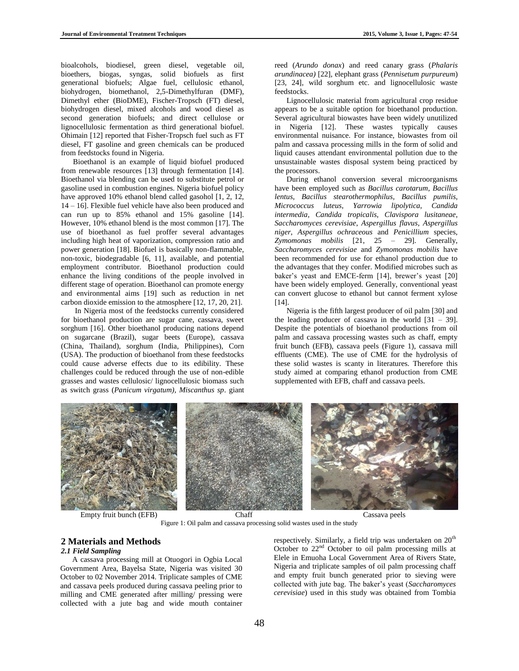bioalcohols, biodiesel, green diesel, vegetable oil, bioethers, biogas, syngas, solid biofuels as first generational biofuels; Algae fuel, cellulosic ethanol, biohydrogen, biomethanol, 2,5-Dimethylfuran (DMF), Dimethyl ether (BioDME), Fischer-Tropsch (FT) diesel, biohydrogen diesel, mixed alcohols and wood diesel as second generation biofuels; and direct cellulose or lignocellulosic fermentation as third generational biofuel. Ohimain [12] reported that Fisher-Tropsch fuel such as FT diesel, FT gasoline and green chemicals can be produced from feedstocks found in Nigeria.

Bioethanol is an example of liquid biofuel produced from renewable resources [13] through fermentation [14]. Bioethanol via blending can be used to substitute petrol or gasoline used in combustion engines. Nigeria biofuel policy have approved 10% ethanol blend called gasohol [1, 2, 12, 14 – 16]. Flexible fuel vehicle have also been produced and can run up to 85% ethanol and 15% gasoline [14]. However, 10% ethanol blend is the most common [17]. The use of bioethanol as fuel proffer several advantages including high heat of vaporization, compression ratio and power generation [18]. Biofuel is basically non-flammable, non-toxic, biodegradable [6, 11], available, and potential employment contributor. Bioethanol production could enhance the living conditions of the people involved in different stage of operation. Bioethanol can promote energy and environmental aims [19] such as reduction in net carbon dioxide emission to the atmosphere [12, 17, 20, 21].

In Nigeria most of the feedstocks currently considered for bioethanol production are sugar cane, cassava, sweet sorghum [16]. Other bioethanol producing nations depend on sugarcane (Brazil), sugar beets (Europe), cassava (China, Thailand), sorghum (India, Philippines), Corn (USA). The production of bioethanol from these feedstocks could cause adverse effects due to its edibility. These challenges could be reduced through the use of non-edible grasses and wastes cellulosic/ lignocellulosic biomass such as switch grass (*Panicum virgatum), Miscanthus sp*. giant

reed (*Arundo donax*) and reed canary grass (*Phalaris arundinacea)* [22], elephant grass (*Pennisetum purpureum*) [23, 24], wild sorghum etc. and lignocellulosic waste feedstocks.

Lignocellulosic material from agricultural crop residue appears to be a suitable option for bioethanol production. Several agricultural biowastes have been widely unutilized in Nigeria [12]. These wastes typically causes environmental nuisance. For instance, biowastes from oil palm and cassava processing mills in the form of solid and liquid causes attendant environmental pollution due to the unsustainable wastes disposal system being practiced by the processors.

During ethanol conversion several microorganisms have been employed such as *Bacillus carotarum*, *Bacillus lentus*, *Bacillus stearothermophilus*, *Bacillus pumilis*, *Micrococcus luteus*, *Yarrowia lipolytica*, *Candida intermedia, Candida tropicalis*, *Clavispora lusitaneae*, *Saccharomyces cerevisiae*, *Aspergillus flavus*, *Aspergillus niger*, *Aspergillus ochraceous* and *Penicillium* species, *Zymomonas mobilis* [21, 25 – 29]*.* Generally, *Saccharomyces cerevisiae* and *Zymomonas mobilis* have been recommended for use for ethanol production due to the advantages that they confer. Modified microbes such as baker's yeast and EMCE-ferm [14], brewer's yeast [20] have been widely employed. Generally, conventional yeast can convert glucose to ethanol but cannot ferment xylose [14].

Nigeria is the fifth largest producer of oil palm [30] and the leading producer of cassava in the world  $[31 - 39]$ . Despite the potentials of bioethanol productions from oil palm and cassava processing wastes such as chaff, empty fruit bunch (EFB), cassava peels (Figure 1), cassava mill effluents (CME). The use of CME for the hydrolysis of these solid wastes is scanty in literatures. Therefore this study aimed at comparing ethanol production from CME supplemented with EFB, chaff and cassava peels.



Figure 1: Oil palm and cassava processing solid wastes used in the study

# **2 Materials and Methods**

# *2.1 Field Sampling*

A cassava processing mill at Otuogori in Ogbia Local Government Area, Bayelsa State, Nigeria was visited 30 October to 02 November 2014. Triplicate samples of CME and cassava peels produced during cassava peeling prior to milling and CME generated after milling/ pressing were collected with a jute bag and wide mouth container

respectively. Similarly, a field trip was undertaken on 20<sup>th</sup> October to  $22<sup>nd</sup>$  October to oil palm processing mills at Elele in Emuoha Local Government Area of Rivers State, Nigeria and triplicate samples of oil palm processing chaff and empty fruit bunch generated prior to sieving were collected with jute bag. The baker's yeast (*Saccharomyces cerevisiae*) used in this study was obtained from Tombia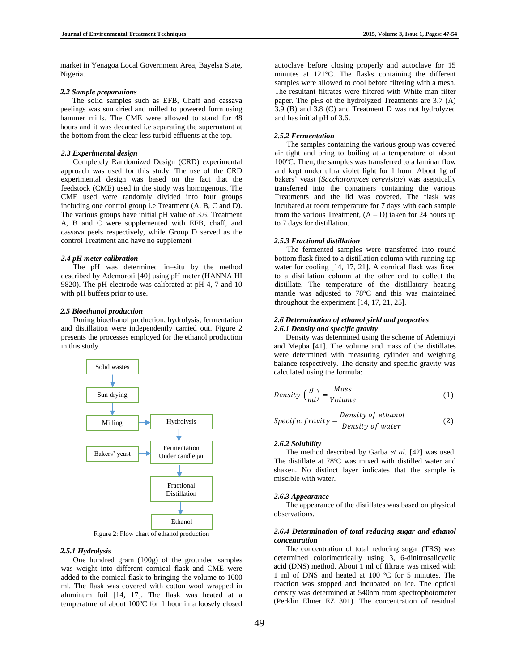market in Yenagoa Local Government Area, Bayelsa State, Nigeria.

### *2.2 Sample preparations*

The solid samples such as EFB, Chaff and cassava peelings was sun dried and milled to powered form using hammer mills. The CME were allowed to stand for 48 hours and it was decanted i.e separating the supernatant at the bottom from the clear less turbid effluents at the top.

#### *2.3 Experimental design*

Completely Randomized Design (CRD) experimental approach was used for this study. The use of the CRD experimental design was based on the fact that the feedstock (CME) used in the study was homogenous. The CME used were randomly divided into four groups including one control group i.e Treatment (A, B, C and D). The various groups have initial pH value of 3.6. Treatment A, B and C were supplemented with EFB, chaff, and cassava peels respectively, while Group D served as the control Treatment and have no supplement

#### *2.4 pH meter calibration*

The pH was determined in–situ by the method described by Ademoroti [40] using pH meter (HANNA HI 9820). The pH electrode was calibrated at pH 4, 7 and 10 with pH buffers prior to use.

# *2.5 Bioethanol production*

During bioethanol production, hydrolysis, fermentation and distillation were independently carried out. Figure 2 presents the processes employed for the ethanol production in this study.



Figure 2: Flow chart of ethanol production

# *2.5.1 Hydrolysis*

One hundred gram (100g) of the grounded samples was weight into different cornical flask and CME were added to the cornical flask to bringing the volume to 1000 ml. The flask was covered with cotton wool wrapped in aluminum foil [14, 17]. The flask was heated at a temperature of about 100ºC for 1 hour in a loosely closed autoclave before closing properly and autoclave for 15 minutes at 121°C. The flasks containing the different samples were allowed to cool before filtering with a mesh. The resultant filtrates were filtered with White man filter paper. The pHs of the hydrolyzed Treatments are 3.7 (A) 3.9 (B) and 3.8 (C) and Treatment D was not hydrolyzed and has initial pH of 3.6.

#### *2.5.2 Fermentation*

The samples containing the various group was covered air tight and bring to boiling at a temperature of about 100ºC. Then, the samples was transferred to a laminar flow and kept under ultra violet light for 1 hour. About 1g of bakers' yeast (*Saccharomyces cerevisiae*) was aseptically transferred into the containers containing the various Treatments and the lid was covered. The flask was incubated at room temperature for 7 days with each sample from the various Treatment,  $(A - D)$  taken for 24 hours up to 7 days for distillation.

#### *2.5.3 Fractional distillation*

The fermented samples were transferred into round bottom flask fixed to a distillation column with running tap water for cooling [14, 17, 21]. A cornical flask was fixed to a distillation column at the other end to collect the distillate. The temperature of the distillatory heating mantle was adjusted to 78°C and this was maintained throughout the experiment [14, 17, 21, 25].

# *2.6 Determination of ethanol yield and properties 2.6.1 Density and specific gravity*

Density was determined using the scheme of Ademiuyi and Mepba [41]. The volume and mass of the distillates were determined with measuring cylinder and weighing balance respectively. The density and specific gravity was calculated using the formula:

$$
Density\left(\frac{g}{ml}\right) = \frac{Mass}{Volume} \tag{1}
$$

*Specific gravity* = 
$$
\frac{Density\ of\ ethanol}{Density\ of\ water}
$$
 (2)

### *2.6.2 Solubility*

The method described by Garba *et al*. [42] was used. The distillate at 78ºC was mixed with distilled water and shaken. No distinct layer indicates that the sample is miscible with water.

#### *2.6.3 Appearance*

The appearance of the distillates was based on physical observations.

#### *2.6.4 Determination of total reducing sugar and ethanol concentration*

The concentration of total reducing sugar (TRS) was determined colorimetrically using 3, 6-dinitrosalicyclic acid (DNS) method. About 1 ml of filtrate was mixed with 1 ml of DNS and heated at 100 ºC for 5 minutes. The reaction was stopped and incubated on ice. The optical density was determined at 540nm from spectrophotometer (Perklin Elmer EZ 301). The concentration of residual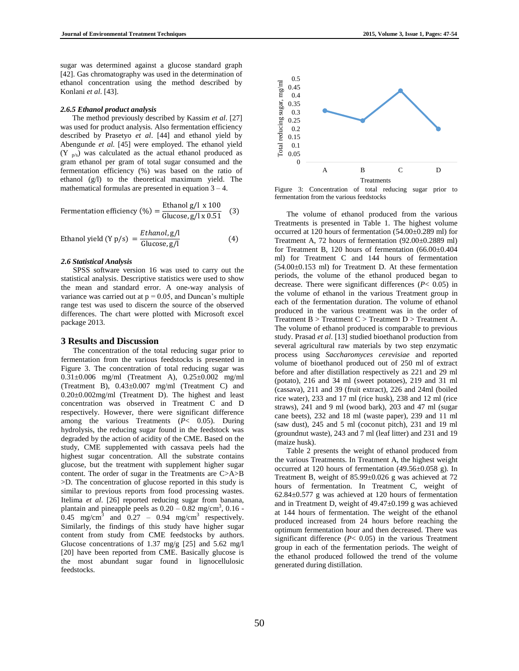sugar was determined against a glucose standard graph [42]. Gas chromatography was used in the determination of ethanol concentration using the method described by Konlani *et al*. [43].

#### *2.6.5 Ethanol product analysis*

The method previously described by Kassim *et al*. [27] was used for product analysis. Also fermentation efficiency described by Prasetyo *et al*. [44] and ethanol yield by Abengunde *et al.* [45] were employed. The ethanol yield  $(Y_{p/s})$  was calculated as the actual ethanol produced as gram ethanol per gram of total sugar consumed and the fermentation efficiency (%) was based on the ratio of ethanol (g/l) to the theoretical maximum yield. The mathematical formulas are presented in equation  $3 - 4$ .

Fermentation efficiency (
$$
\%
$$
) =  $\frac{\text{Ethanol g/l} \times 100}{\text{Glucose}, g/l \times 0.51}$  (3)

$$
Ethanol yield (Y p/s) = \frac{Ethanol, g/l}{Glucose, g/l}
$$
 (4)

#### *2.6 Statistical Analysis*

SPSS software version 16 was used to carry out the statistical analysis. Descriptive statistics were used to show the mean and standard error. A one-way analysis of variance was carried out at  $p = 0.05$ , and Duncan's multiple range test was used to discern the source of the observed differences. The chart were plotted with Microsoft excel package 2013.

#### **3 Results and Discussion**

The concentration of the total reducing sugar prior to fermentation from the various feedstocks is presented in Figure 3. The concentration of total reducing sugar was 0.31±0.006 mg/ml (Treatment A), 0.25±0.002 mg/ml (Treatment B), 0.43±0.007 mg/ml (Treatment C) and 0.20±0.002mg/ml (Treatment D). The highest and least concentration was observed in Treatment C and D respectively. However, there were significant difference among the various Treatments (*P*< 0.05). During hydrolysis, the reducing sugar found in the feedstock was degraded by the action of acidity of the CME. Based on the study, CME supplemented with cassava peels had the highest sugar concentration. All the substrate contains glucose, but the treatment with supplement higher sugar content. The order of sugar in the Treatments are C>A>B >D. The concentration of glucose reported in this study is similar to previous reports from food processing wastes. Itelima *et al*. [26] reported reducing sugar from banana, plantain and pineapple peels as  $0.20 - 0.82$  mg/cm<sup>3</sup>,  $0.16$  - $0.45 \text{ mg/cm}^3$  and  $0.27 - 0.94 \text{ mg/cm}^3$  respectively. Similarly, the findings of this study have higher sugar content from study from CME feedstocks by authors. Glucose concentrations of 1.37 mg/g [25] and 5.62 mg/l [20] have been reported from CME. Basically glucose is the most abundant sugar found in lignocellulosic feedstocks.



Figure 3: Concentration of total reducing sugar prior to fermentation from the various feedstocks

The volume of ethanol produced from the various Treatments is presented in Table 1. The highest volume occurred at 120 hours of fermentation (54.00±0.289 ml) for Treatment A, 72 hours of fermentation (92.00±0.2889 ml) for Treatment B, 120 hours of fermentation (66.00±0.404 ml) for Treatment C and 144 hours of fermentation (54.00±0.153 ml) for Treatment D. At these fermentation periods, the volume of the ethanol produced began to decrease. There were significant differences (*P*< 0.05) in the volume of ethanol in the various Treatment group in each of the fermentation duration. The volume of ethanol produced in the various treatment was in the order of Treatment  $B > T$ reatment  $C > T$ reatment  $D > T$ reatment A. The volume of ethanol produced is comparable to previous study. Prasad *et al*. [13] studied bioethanol production from several agricultural raw materials by two step enzymatic process using *Saccharomyces cerevisiae* and reported volume of bioethanol produced out of 250 ml of extract before and after distillation respectively as 221 and 29 ml (potato), 216 and 34 ml (sweet potatoes), 219 and 31 ml (cassava), 211 and 39 (fruit extract), 226 and 24ml (boiled rice water), 233 and 17 ml (rice husk), 238 and 12 ml (rice straws), 241 and 9 ml (wood bark), 203 and 47 ml (sugar cane beets), 232 and 18 ml (waste paper), 239 and 11 ml (saw dust), 245 and 5 ml (coconut pitch), 231 and 19 ml (groundnut waste), 243 and 7 ml (leaf litter) and 231 and 19 (maize husk).

Table 2 presents the weight of ethanol produced from the various Treatments. In Treatment A, the highest weight occurred at 120 hours of fermentation (49.56±0.058 g). In Treatment B, weight of 85.99±0.026 g was achieved at 72 hours of fermentation. In Treatment C, weight of 62.84±0.577 g was achieved at 120 hours of fermentation and in Treatment D, weight of 49.47±0.199 g was achieved at 144 hours of fermentation. The weight of the ethanol produced increased from 24 hours before reaching the optimum fermentation hour and then decreased. There was significant difference  $(P< 0.05)$  in the various Treatment group in each of the fermentation periods. The weight of the ethanol produced followed the trend of the volume generated during distillation.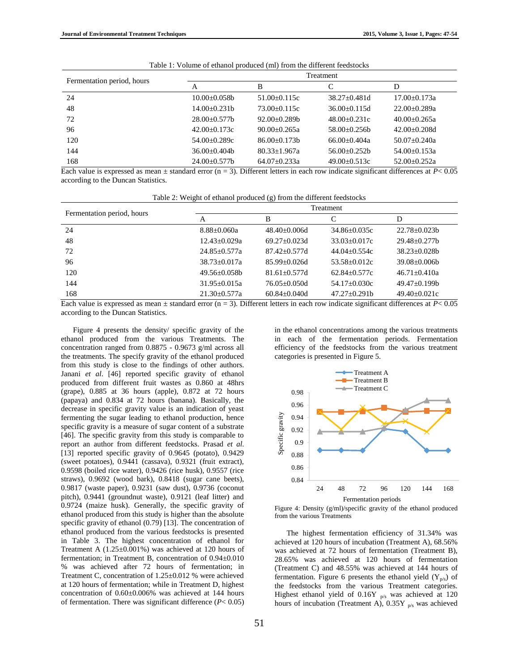| Fermentation period, hours | Treatment      |                  |                  |                    |  |  |
|----------------------------|----------------|------------------|------------------|--------------------|--|--|
|                            | А              | B                |                  | D                  |  |  |
| 24                         | $10.00+0.058h$ | $51.00+0.115c$   | $38.27 + 0.481d$ | $17.00 + 0.173a$   |  |  |
| 48                         | $14.00+0.231b$ | $73.00+0.115c$   | $36.00+0.115d$   | $22.00+0.289a$     |  |  |
| 72                         | $28.00+0.577b$ | $92.00+0.289b$   | $48.00+0.231c$   | $40.00+0.265a$     |  |  |
| 96                         | $42.00+0.173c$ | $90.00+0.265a$   | $58.00+0.256h$   | $42.00+0.208d$     |  |  |
| 120                        | $54.00+0.289c$ | $86.00+0.173b$   | $66.00+0.404a$   | $50.07+0.240a$     |  |  |
| 144                        | $36.00+0.404b$ | $80.33 + 1.967a$ | $56.00+0.252h$   | $54.00 \pm 0.153a$ |  |  |
| 168                        | $24.00+0.577b$ | $64.07+0.233a$   | $49.00+0.513c$   | $52.00+0.252a$     |  |  |

|  |  |  | Table 1: Volume of ethanol produced (ml) from the different feedstocks |
|--|--|--|------------------------------------------------------------------------|
|  |  |  |                                                                        |

Each value is expressed as mean ± standard error (n = 3). Different letters in each row indicate significant differences at *P*< 0.05 according to the Duncan Statistics.

| Table 2: Weight of ethanol produced (g) from the different feedstocks |  |  |
|-----------------------------------------------------------------------|--|--|
|                                                                       |  |  |

| Fermentation period, hours | Treatment        |                  |                  |                     |  |  |
|----------------------------|------------------|------------------|------------------|---------------------|--|--|
|                            | A                | в                |                  | D                   |  |  |
| 24                         | $8.88 + 0.060a$  | $48.40 + 0.006d$ | $34.86 + 0.035c$ | $22.78 + 0.023h$    |  |  |
| 48                         | $12.43 + 0.029a$ | $69.27 + 0.023d$ | $33.03 + 0.017c$ | $29.48 \pm 0.277b$  |  |  |
| 72                         | $24.85 + 0.577a$ | $87.42 + 0.577d$ | $44.04 + 0.554c$ | $38.23 \pm 0.028$ b |  |  |
| 96                         | $38.73 + 0.017a$ | $85.99 + 0.026d$ | $53.58 + 0.012c$ | $39.08 \pm 0.006$   |  |  |
| 120                        | $49.56 + 0.058h$ | $81.61 + 0.577d$ | $62.84 + 0.577c$ | $46.71 + 0.410a$    |  |  |
| 144                        | $31.95 + 0.015a$ | $76.05 + 0.050d$ | $54.17+0.030c$   | $49.47+0.199b$      |  |  |
| 168                        | $21.30 + 0.577a$ | $60.84 + 0.040d$ | $47.27+0.291h$   | $49.40 + 0.021c$    |  |  |

Each value is expressed as mean  $\pm$  standard error (n = 3). Different letters in each row indicate significant differences at  $P < 0.05$ according to the Duncan Statistics.

Figure 4 presents the density/ specific gravity of the ethanol produced from the various Treatments. The concentration ranged from 0.8875 - 0.9673 g/ml across all the treatments. The specify gravity of the ethanol produced from this study is close to the findings of other authors. Janani *et al*. [46] reported specific gravity of ethanol produced from different fruit wastes as 0.860 at 48hrs (grape), 0.885 at 36 hours (apple), 0.872 at 72 hours (papaya) and 0.834 at 72 hours (banana). Basically, the decrease in specific gravity value is an indication of yeast fermenting the sugar leading to ethanol production, hence specific gravity is a measure of sugar content of a substrate [46]. The specific gravity from this study is comparable to report an author from different feedstocks. Prasad *et al*. [13] reported specific gravity of 0.9645 (potato), 0.9429 (sweet potatoes), 0.9441 (cassava), 0.9321 (fruit extract), 0.9598 (boiled rice water), 0.9426 (rice husk), 0.9557 (rice straws), 0.9692 (wood bark), 0.8418 (sugar cane beets), 0.9817 (waste paper), 0.9231 (saw dust), 0.9736 (coconut pitch), 0.9441 (groundnut waste), 0.9121 (leaf litter) and 0.9724 (maize husk). Generally, the specific gravity of ethanol produced from this study is higher than the absolute specific gravity of ethanol (0.79) [13]. The concentration of ethanol produced from the various feedstocks is presented in Table 3. The highest concentration of ethanol for Treatment A (1.25±0.001%) was achieved at 120 hours of fermentation; in Treatment B, concentration of 0.94±0.010 % was achieved after 72 hours of fermentation; in Treatment C, concentration of 1.25±0.012 % were achieved at 120 hours of fermentation; while in Treatment D, highest concentration of 0.60±0.006% was achieved at 144 hours of fermentation. There was significant difference (*P*< 0.05)

in the ethanol concentrations among the various treatments in each of the fermentation periods. Fermentation efficiency of the feedstocks from the various treatment categories is presented in Figure 5.



Figure 4: Density (g/ml)/specific gravity of the ethanol produced from the various Treatments

The highest fermentation efficiency of 31.34% was achieved at 120 hours of incubation (Treatment A), 68.56% was achieved at 72 hours of fermentation (Treatment B), 28.65% was achieved at 120 hours of fermentation (Treatment C) and 48.55% was achieved at 144 hours of fermentation. Figure 6 presents the ethanol yield  $(Y_{p/s})$  of the feedstocks from the various Treatment categories. Highest ethanol yield of  $0.16Y$  <sub>p/s</sub> was achieved at 120 hours of incubation (Treatment A),  $0.35Y$  <sub>p/s</sub> was achieved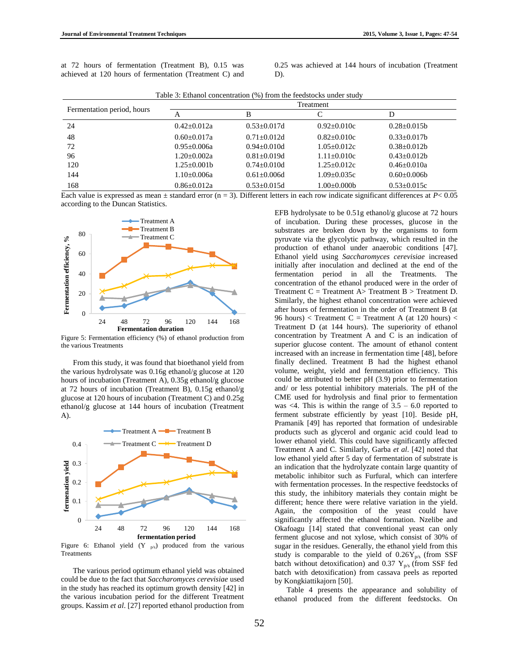at 72 hours of fermentation (Treatment B), 0.15 was achieved at 120 hours of fermentation (Treatment C) and

0.25 was achieved at 144 hours of incubation (Treatment D).

|                            | Treatment          |                 |                 |                   |  |
|----------------------------|--------------------|-----------------|-----------------|-------------------|--|
| Fermentation period, hours | А                  | В               |                 | D                 |  |
| 24                         | $0.42 + 0.012a$    | $0.53 + 0.017d$ | $0.92 + 0.010c$ | $0.28 \pm 0.015b$ |  |
| 48                         | $0.60 + 0.017a$    | $0.71 + 0.012d$ | $0.82 + 0.010c$ | $0.33+0.017h$     |  |
| 72                         | $0.95 + 0.006a$    | $0.94 + 0.010d$ | $1.05 + 0.012c$ | $0.38 + 0.012b$   |  |
| 96                         | $1.20 + 0.002a$    | $0.81 + 0.019d$ | $1.11 + 0.010c$ | $0.43 + 0.012h$   |  |
| 120                        | $1.25 \pm 0.001 b$ | $0.74 + 0.010d$ | $1.25 + 0.012c$ | $0.46 \pm 0.010a$ |  |
| 144                        | 1.10±0.006a        | $0.61 + 0.006d$ | $1.09 + 0.035c$ | $0.60 + 0.006$    |  |
| 168                        | $0.86 \pm 0.012a$  | $0.53 + 0.015d$ | 1.00±0.000b     | $0.53 \pm 0.015c$ |  |

Table 3: Ethanol concentration (%) from the feedstocks under study

Each value is expressed as mean  $\pm$  standard error (n = 3). Different letters in each row indicate significant differences at  $P < 0.05$ according to the Duncan Statistics.



Figure 5: Fermentation efficiency (%) of ethanol production from the various Treatments

From this study, it was found that bioethanol yield from the various hydrolysate was 0.16g ethanol/g glucose at 120 hours of incubation (Treatment A), 0.35g ethanol/g glucose at 72 hours of incubation (Treatment B), 0.15g ethanol/g glucose at 120 hours of incubation (Treatment C) and 0.25g ethanol/g glucose at 144 hours of incubation (Treatment A).



Figure 6: Ethanol yield  $(Y_{p/s})$  produced from the various Treatments

The various period optimum ethanol yield was obtained could be due to the fact that *Saccharomyces cerevisiae* used in the study has reached its optimum growth density [42] in the various incubation period for the different Treatment groups. Kassim *et al*. [27] reported ethanol production from

EFB hydrolysate to be 0.51g ethanol/g glucose at 72 hours of incubation. During these processes, glucose in the substrates are broken down by the organisms to form pyruvate via the glycolytic pathway, which resulted in the production of ethanol under anaerobic conditions [47]. Ethanol yield using *Saccharomyces cerevisiae* increased initially after inoculation and declined at the end of the fermentation period in all the Treatments. The concentration of the ethanol produced were in the order of Treatment  $C = Treatment A > Treatment B > Treatment D$ . Similarly, the highest ethanol concentration were achieved after hours of fermentation in the order of Treatment B (at 96 hours) < Treatment C = Treatment A (at 120 hours) < Treatment D (at 144 hours). The superiority of ethanol concentration by Treatment A and C is an indication of superior glucose content. The amount of ethanol content increased with an increase in fermentation time [48], before finally declined. Treatment B had the highest ethanol volume, weight, yield and fermentation efficiency. This could be attributed to better pH (3.9) prior to fermentation and/ or less potential inhibitory materials. The pH of the CME used for hydrolysis and final prior to fermentation was  $\leq$ 4. This is within the range of  $3.5 - 6.0$  reported to ferment substrate efficiently by yeast [10]. Beside pH, Pramanik [49] has reported that formation of undesirable products such as glycerol and organic acid could lead to lower ethanol yield. This could have significantly affected Treatment A and C. Similarly, Garba *et al*. [42] noted that low ethanol yield after 5 day of fermentation of substrate is an indication that the hydrolyzate contain large quantity of metabolic inhibitor such as Furfural, which can interfere with fermentation processes. In the respective feedstocks of this study, the inhibitory materials they contain might be different; hence there were relative variation in the yield. Again, the composition of the yeast could have significantly affected the ethanol formation. Nzelibe and Okafoagu [14] stated that conventional yeast can only ferment glucose and not xylose, which consist of 30% of sugar in the residues. Generally, the ethanol yield from this study is comparable to the yield of  $0.26Y_{p/s}$  (from SSF batch without detoxification) and 0.37  $Y_{p/s}$  (from SSF fed batch with detoxification) from cassava peels as reported by Kongkiattikajorn [50].

Table 4 presents the appearance and solubility of ethanol produced from the different feedstocks. On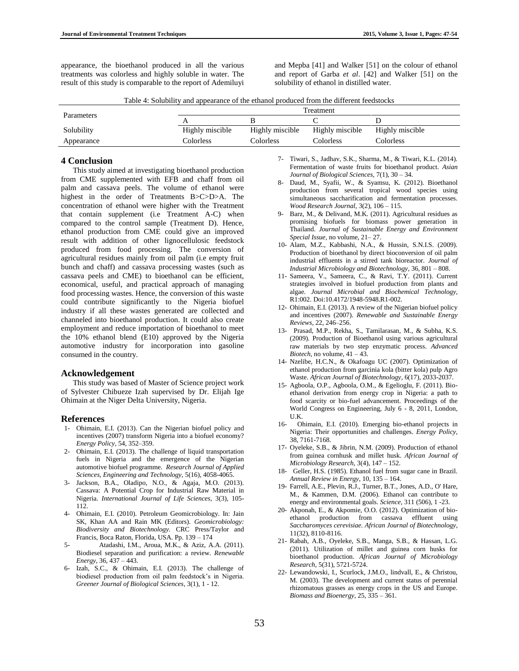and Mepba [41] and Walker [51] on the colour of ethanol and report of Garba *et al*. [42] and Walker [51] on the solubility of ethanol in distilled water.

|  | Table 4: Solubility and appearance of the ethanol produced from the different feedstocks |  |  |  |  |  |
|--|------------------------------------------------------------------------------------------|--|--|--|--|--|
|--|------------------------------------------------------------------------------------------|--|--|--|--|--|

| Treatment       |  |  |  |  |
|-----------------|--|--|--|--|
|                 |  |  |  |  |
| Highly miscible |  |  |  |  |
|                 |  |  |  |  |
|                 |  |  |  |  |

# **4 Conclusion**

This study aimed at investigating bioethanol production from CME supplemented with EFB and chaff from oil palm and cassava peels. The volume of ethanol were highest in the order of Treatments B>C>D>A. The concentration of ethanol were higher with the Treatment that contain supplement (i.e Treatment A-C) when compared to the control sample (Treatment D). Hence, ethanol production from CME could give an improved result with addition of other lignocellulosic feedstock produced from food processing. The conversion of agricultural residues mainly from oil palm (i.e empty fruit bunch and chaff) and cassava processing wastes (such as cassava peels and CME) to bioethanol can be efficient, economical, useful, and practical approach of managing food processing wastes. Hence, the conversion of this waste could contribute significantly to the Nigeria biofuel industry if all these wastes generated are collected and channeled into bioethanol production. It could also create employment and reduce importation of bioethanol to meet the 10% ethanol blend (E10) approved by the Nigeria automotive industry for incorporation into gasoline consumed in the country.

# **Acknowledgement**

This study was based of Master of Science project work of Sylvester Chibueze Izah supervised by Dr. Elijah Ige Ohimain at the Niger Delta University, Nigeria.

#### **References**

- 1- Ohimain, E.I. (2013). Can the Nigerian biofuel policy and incentives (2007) transform Nigeria into a biofuel economy? *Energy Policy,* 54, 352–359.
- 2- Ohimain, E.I. (2013). The challenge of liquid transportation fuels in Nigeria and the emergence of the Nigerian automotive biofuel programme. *Research Journal of Applied Sciences, Engineering and Technology,* 5(16), 4058-4065.
- 3- Jackson, B.A., Oladipo, N.O., & Agaja, M.O. (2013). Cassava: A Potential Crop for Industrial Raw Material in Nigeria. *International Journal of Life Sciences,* 3(3), 105- 112.
- 4- Ohimain, E.I. (2010). Petroleum Geomicrobiology. In: Jain SK, Khan AA and Rain MK (Editors). *Geomicrobiology: Biodiversity and Biotechnology.* CRC Press/Taylor and Francis, Boca Raton, Florida, USA. Pp. 139 – 174
- 5- Atadashi, I.M., Aroua, M.K., & Aziz, A.A. (2011). Biodiesel separation and purification: a review. *Renewable Energy,* 36, 437 – 443.
- 6- Izah, S.C., & Ohimain, E.I. (2013). The challenge of biodiesel production from oil palm feedstock's in Nigeria. *Greener Journal of Biological Sciences*, 3(1), 1 - 12.
- 7- Tiwari, S., Jadhav, S.K., Sharma, M., & Tiwari, K.L. (2014). Fermentation of waste fruits for bioethanol product. *Asian Journal of Biological Sciences,* 7(1), 30 – 34.
- 8- Daud, M., Syafii, W., & Syamsu, K. (2012). Bioethanol production from several tropical wood species using simultaneous saccharification and fermentation processes. *Wood Research Journal,* 3(2), 106 – 115.
- 9- Barz, M., & Delivand, M.K. (2011). Agricultural residues as promising biofuels for biomass power generation in Thailand. *Journal of Sustainable Energy and Environment Special Issue,* no volume, 21– 27.
- 10- Alam, M.Z., Kabbashi, N.A., & Hussin, S.N.I.S. (2009). Production of bioethanol by direct bioconversion of oil palm industrial effluents in a stirred tank bioreactor. *Journal of Industrial Microbiology and Biotechnology,* 36, 801 – 808.
- 11- Sameera, V., Sameera, C., & Ravi, T.Y. (2011). Current strategies involved in biofuel production from plants and algae. *Journal Microbial and Biochemical Technology,* R1:002. Doi:10.4172/1948-5948.R1-002.
- 12- Ohimain, E.I. (2013). A review of the Nigerian biofuel policy and incentives (2007). *Renewable and Sustainable Energy Reviews,* 22, 246–256.
- 13- Prasad, M.P., Rekha, S., Tamilarasan, M., & Subha, K.S. (2009). Production of Bioethanol using various agricultural raw materials by two step enzymatic process. *Advanced Biotech,* no volume,  $41 - 43$ .
- 14- Nzelibe, H.C.N., & Okafoagu UC (2007). Optimization of ethanol production from garcinia kola (bitter kola) pulp Agro Waste. *African Journal of Biotechnology*, 6(17), 2033-2037.
- 15- Agboola, O.P., Agboola, O.M., & Egelioglu, F. (2011). Bioethanol derivation from energy crop in Nigeria: a path to food scarcity or bio-fuel advancement. Proceedings of the World Congress on Engineering, July 6 - 8, 2011, London, U.K.
- 16- Ohimain, E.I. (2010). Emerging bio-ethanol projects in Nigeria: Their opportunities and challenges. *Energy Policy,*  38, 7161-7168.
- 17- Oyeleke, S.B., & Jibrin, N.M. (2009). Production of ethanol from guinea cornhusk and millet husk. *African Journal of Microbiology Research,* 3(4), 147 – 152.
- 18- Geller, H.S. (1985). Ethanol fuel from sugar cane in Brazil. *Annual Review in Energy*, 10, 135 – 164.
- 19- Farrell, A.E., Plevin, R.J., Turner, B.T., Jones, A.D., O' Hare, M., & Kammen, D.M. (2006). Ethanol can contribute to energy and environmental goals. *Science,* 311 (506), 1 -23.
- 20- Akponah, E., & Akpomie, O.O. (2012). Optimization of bioethanol production from cassava effluent using *Saccharomyces cerevisiae. African Journal of Biotechnology*, 11(32), 8110-8116.
- 21- Rabah, A.B., Oyeleke, S.B., Manga, S.B., & Hassan, L.G. (2011). Utilization of millet and guinea corn husks for bioethanol production. *African Journal of Microbiology Research*, 5(31), 5721-5724.
- 22- Lewandowski, I., Scurlock, J.M.O., lindvall, E., & Christou, M. (2003). The development and current status of perennial rhizomatous grasses as energy crops in the US and Europe. *Biomass and Bioenergy,* 25, 335 – 361.